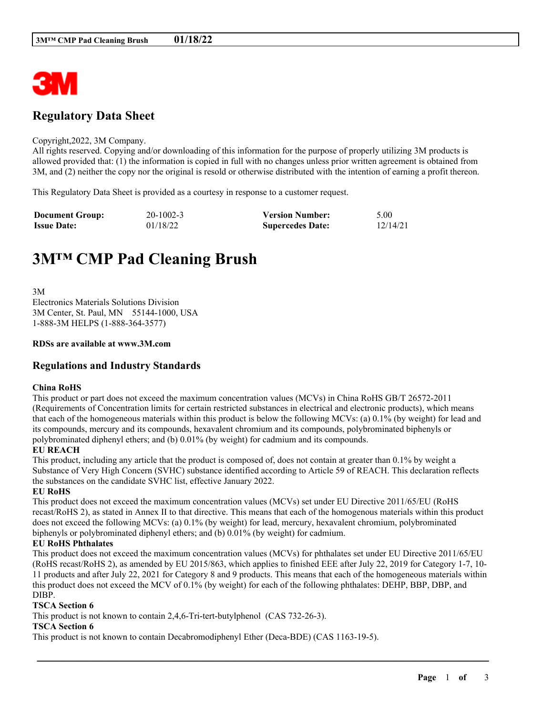

# **Regulatory Data Sheet**

#### Copyright,2022, 3M Company.

All rights reserved. Copying and/or downloading of this information for the purpose of properly utilizing 3M products is allowed provided that: (1) the information is copied in full with no changes unless prior written agreement is obtained from 3M, and (2) neither the copy nor the original is resold or otherwise distributed with the intention of earning a profit thereon.

This Regulatory Data Sheet is provided as a courtesy in response to a customer request.

| <b>Document Group:</b> | $20-1002-3$ | <b>Version Number:</b>  | 5.00     |
|------------------------|-------------|-------------------------|----------|
| <b>Issue Date:</b>     | 01/18/22    | <b>Supercedes Date:</b> | 12/14/21 |

# **3M™ CMP Pad Cleaning Brush**

3M Electronics Materials Solutions Division 3M Center, St. Paul, MN 55144-1000, USA 1-888-3M HELPS (1-888-364-3577)

#### **RDSs are available at www.3M.com**

# **Regulations and Industry Standards**

# **China RoHS**

This product or part does not exceed the maximum concentration values (MCVs) in China RoHS GB/T 26572-2011 (Requirements of Concentration limits for certain restricted substances in electrical and electronic products), which means that each of the homogeneous materials within this product is below the following MCVs: (a) 0.1% (by weight) for lead and its compounds, mercury and its compounds, hexavalent chromium and its compounds, polybrominated biphenyls or polybrominated diphenyl ethers; and (b) 0.01% (by weight) for cadmium and its compounds.

#### **EU REACH**

This product, including any article that the product is composed of, does not contain at greater than 0.1% by weight a Substance of Very High Concern (SVHC) substance identified according to Article 59 of REACH. This declaration reflects the substances on the candidate SVHC list, effective January 2022.

# **EU RoHS**

This product does not exceed the maximum concentration values (MCVs) set under EU Directive 2011/65/EU (RoHS recast/RoHS 2), as stated in Annex II to that directive. This means that each of the homogenous materials within this product does not exceed the following MCVs: (a) 0.1% (by weight) for lead, mercury, hexavalent chromium, polybrominated biphenyls or polybrominated diphenyl ethers; and (b) 0.01% (by weight) for cadmium.

# **EU RoHS Phthalates**

This product does not exceed the maximum concentration values (MCVs) for phthalates set under EU Directive 2011/65/EU (RoHS recast/RoHS 2), as amended by EU 2015/863, which applies to finished EEE after July 22, 2019 for Category 1-7, 10- 11 products and after July 22, 2021 for Category 8 and 9 products. This means that each of the homogeneous materials within this product does not exceed the MCV of 0.1% (by weight) for each of the following phthalates: DEHP, BBP, DBP, and DIBP.

\_\_\_\_\_\_\_\_\_\_\_\_\_\_\_\_\_\_\_\_\_\_\_\_\_\_\_\_\_\_\_\_\_\_\_\_\_\_\_\_\_\_\_\_\_\_\_\_\_\_\_\_\_\_\_\_\_\_\_\_\_\_\_\_\_\_\_\_\_\_\_\_\_\_\_\_\_\_\_\_\_\_\_\_\_\_\_\_\_\_

#### **TSCA Section 6**

This product is not known to contain 2,4,6-Tri-tert-butylphenol (CAS 732-26-3).

#### **TSCA Section 6**

This product is not known to contain Decabromodiphenyl Ether (Deca-BDE) (CAS 1163-19-5).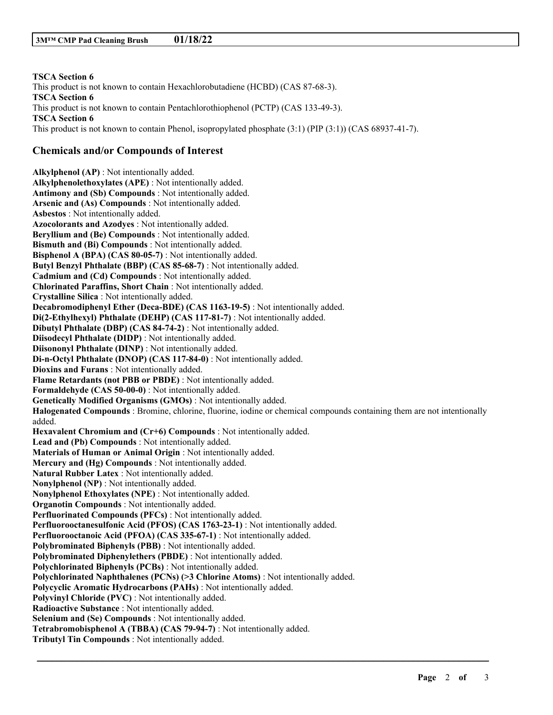**TSCA Section 6** This product is not known to contain Hexachlorobutadiene (HCBD) (CAS 87-68-3). **TSCA Section 6** This product is not known to contain Pentachlorothiophenol (PCTP) (CAS 133-49-3). **TSCA Section 6** This product is not known to contain Phenol, isopropylated phosphate (3:1) (PIP (3:1)) (CAS 68937-41-7).

# **Chemicals and/or Compounds of Interest**

**Alkylphenol (AP)** : Not intentionally added. **Alkylphenolethoxylates (APE)** : Not intentionally added. **Antimony and (Sb) Compounds** : Not intentionally added. **Arsenic and (As) Compounds** : Not intentionally added. **Asbestos** : Not intentionally added. **Azocolorants and Azodyes** : Not intentionally added. **Beryllium and (Be) Compounds** : Not intentionally added. **Bismuth and (Bi) Compounds** : Not intentionally added. **Bisphenol A (BPA) (CAS 80-05-7)** : Not intentionally added. **Butyl Benzyl Phthalate (BBP) (CAS 85-68-7)** : Not intentionally added. **Cadmium and (Cd) Compounds** : Not intentionally added. **Chlorinated Paraffins, Short Chain** : Not intentionally added. **Crystalline Silica** : Not intentionally added. **Decabromodiphenyl Ether (Deca-BDE) (CAS 1163-19-5)** : Not intentionally added. **Di(2-Ethylhexyl) Phthalate (DEHP) (CAS 117-81-7)** : Not intentionally added. **Dibutyl Phthalate (DBP) (CAS 84-74-2)** : Not intentionally added. **Diisodecyl Phthalate (DIDP)** : Not intentionally added. **Diisononyl Phthalate (DINP)** : Not intentionally added. **Di-n-Octyl Phthalate (DNOP) (CAS 117-84-0)** : Not intentionally added. **Dioxins and Furans** : Not intentionally added. **Flame Retardants (not PBB or PBDE)** : Not intentionally added. **Formaldehyde (CAS 50-00-0)** : Not intentionally added. **Genetically Modified Organisms (GMOs)** : Not intentionally added. **Halogenated Compounds** : Bromine, chlorine, fluorine, iodine or chemical compounds containing them are not intentionally added. **Hexavalent Chromium and (Cr+6) Compounds** : Not intentionally added. **Lead and (Pb) Compounds** : Not intentionally added. **Materials of Human or Animal Origin** : Not intentionally added. **Mercury and (Hg) Compounds** : Not intentionally added. **Natural Rubber Latex** : Not intentionally added. **Nonylphenol (NP)** : Not intentionally added. **Nonylphenol Ethoxylates (NPE)** : Not intentionally added. **Organotin Compounds** : Not intentionally added. **Perfluorinated Compounds (PFCs)** : Not intentionally added. **Perfluorooctanesulfonic Acid (PFOS) (CAS 1763-23-1)** : Not intentionally added. **Perfluorooctanoic Acid (PFOA) (CAS 335-67-1)** : Not intentionally added. **Polybrominated Biphenyls (PBB)** : Not intentionally added. **Polybrominated Diphenylethers (PBDE)** : Not intentionally added. **Polychlorinated Biphenyls (PCBs)** : Not intentionally added. **Polychlorinated Naphthalenes (PCNs) (>3 Chlorine Atoms)** : Not intentionally added. **Polycyclic Aromatic Hydrocarbons (PAHs)** : Not intentionally added. **Polyvinyl Chloride (PVC)** : Not intentionally added. **Radioactive Substance** : Not intentionally added. **Selenium and (Se) Compounds** : Not intentionally added. **Tetrabromobisphenol A (TBBA) (CAS 79-94-7)** : Not intentionally added. **Tributyl Tin Compounds** : Not intentionally added.

\_\_\_\_\_\_\_\_\_\_\_\_\_\_\_\_\_\_\_\_\_\_\_\_\_\_\_\_\_\_\_\_\_\_\_\_\_\_\_\_\_\_\_\_\_\_\_\_\_\_\_\_\_\_\_\_\_\_\_\_\_\_\_\_\_\_\_\_\_\_\_\_\_\_\_\_\_\_\_\_\_\_\_\_\_\_\_\_\_\_